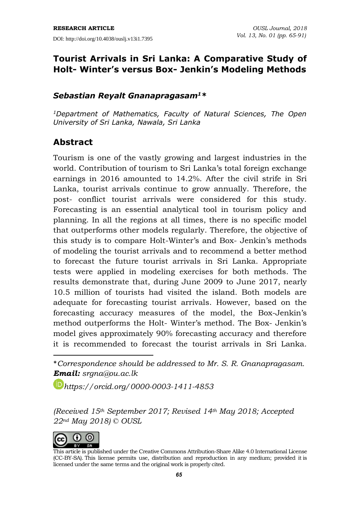# **Tourist Arrivals in Sri Lanka: A Comparative Study of Holt- Winter's versus Box- Jenkin's Modeling Methods**

## *Sebastian Reyalt Gnanapragasam<sup>1</sup>\**

*<sup>1</sup>Department of Mathematics, Faculty of Natural Sciences, The Open University of Sri Lanka, Nawala, Sri Lanka*

# **Abstract**

Tourism is one of the vastly growing and largest industries in the world. Contribution of tourism to Sri Lanka's total foreign exchange earnings in 2016 amounted to 14.2%. After the civil strife in Sri Lanka, tourist arrivals continue to grow annually. Therefore, the post- conflict tourist arrivals were considered for this study. Forecasting is an essential analytical tool in tourism policy and planning. In all the regions at all times, there is no specific model that outperforms other models regularly. Therefore, the objective of this study is to compare Holt-Winter's and Box- Jenkin's methods of modeling the tourist arrivals and to recommend a better method to forecast the future tourist arrivals in Sri Lanka. Appropriate tests were applied in modeling exercises for both methods. The results demonstrate that, during June 2009 to June 2017, nearly 10.5 million of tourists had visited the island. Both models are adequate for forecasting tourist arrivals. However, based on the forecasting accuracy measures of the model, the Box-Jenkin's method outperforms the Holt- Winter's method. The Box- Jenkin's model gives approximately 90% forecasting accuracy and therefore it is recommended to forecast the tourist arrivals in Sri Lanka.

\**Correspondence should be addressed to Mr. S. R. Gnanapragasam. Email: [srgna@ou.ac.lk](mailto:srgna@ou.ac.lk)*

*[https://orcid.org/0](https://orcid.org/)000-0003-1411-4853*

*(Received 15th September 2017; Revised 14th May 2018; Accepted 22nd May 2018) © OUSL*



 $\overline{a}$ 

This article is published under the Creative Commons [Attribution-Share](http://creativecommons.org/licenses/by-sa/4.0/) Alike 4.0 International License (CC-BY-SA). This license permits use, distribution and reproduction in any medium; provided it is licensed under the same terms and the original work is properly cited.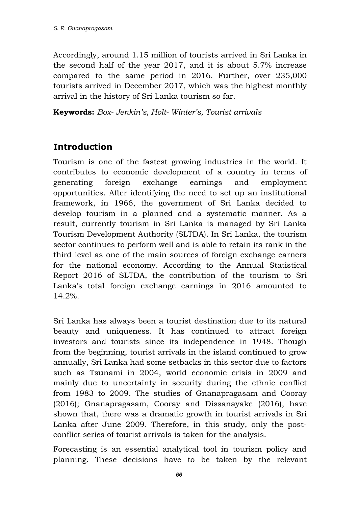Accordingly, around 1.15 million of tourists arrived in Sri Lanka in the second half of the year 2017, and it is about 5.7% increase compared to the same period in 2016. Further, over 235,000 tourists arrived in December 2017, which was the highest monthly arrival in the history of Sri Lanka tourism so far.

**Keywords:** *Box- Jenkin's, Holt- Winter's, Tourist arrivals*

# **Introduction**

Tourism is one of the fastest growing industries in the world. It contributes to economic development of a country in terms of generating foreign exchange earnings and employment opportunities. After identifying the need to set up an institutional framework, in 1966, the government of Sri Lanka decided to develop tourism in a planned and a systematic manner. As a result, currently tourism in Sri Lanka is managed by Sri Lanka Tourism Development Authority (SLTDA). In Sri Lanka, the tourism sector continues to perform well and is able to retain its rank in the third level as one of the main sources of foreign exchange earners for the national economy. According to the Annual Statistical Report 2016 of SLTDA, the contribution of the tourism to Sri Lanka's total foreign exchange earnings in 2016 amounted to 14.2%.

Sri Lanka has always been a tourist destination due to its natural beauty and uniqueness. It has continued to attract foreign investors and tourists since its independence in 1948. Though from the beginning, tourist arrivals in the island continued to grow annually, Sri Lanka had some setbacks in this sector due to factors such as Tsunami in 2004, world economic crisis in 2009 and mainly due to uncertainty in security during the ethnic conflict from 1983 to 2009. The studies of Gnanapragasam and Cooray (2016); Gnanapragasam, Cooray and Dissanayake (2016), have shown that, there was a dramatic growth in tourist arrivals in Sri Lanka after June 2009. Therefore, in this study, only the postconflict series of tourist arrivals is taken for the analysis.

Forecasting is an essential analytical tool in tourism policy and planning. These decisions have to be taken by the relevant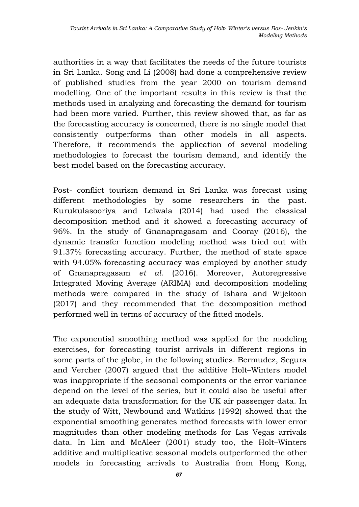authorities in a way that facilitates the needs of the future tourists in Sri Lanka. Song and Li (2008) had done a comprehensive review of published studies from the year 2000 on tourism demand modelling. One of the important results in this review is that the methods used in analyzing and forecasting the demand for tourism had been more varied. Further, this review showed that, as far as the forecasting accuracy is concerned, there is no single model that consistently outperforms than other models in all aspects. Therefore, it recommends the application of several modeling methodologies to forecast the tourism demand, and identify the best model based on the forecasting accuracy.

Post- conflict tourism demand in Sri Lanka was forecast using different methodologies by some researchers in the past. Kurukulasooriya and Lelwala (2014) had used the classical decomposition method and it showed a forecasting accuracy of 96%. In the study of Gnanapragasam and Cooray (2016), the dynamic transfer function modeling method was tried out with 91.37% forecasting accuracy. Further, the method of state space with 94.05% forecasting accuracy was employed by another study of Gnanapragasam *et al*. (2016). Moreover, Autoregressive Integrated Moving Average (ARIMA) and decomposition modeling methods were compared in the study of Ishara and Wijekoon (2017) and they recommended that the decomposition method performed well in terms of accuracy of the fitted models.

The exponential smoothing method was applied for the modeling exercises, for forecasting tourist arrivals in different regions in some parts of the globe, in the following studies. Bermudez, Segura and Vercher (2007) argued that the additive Holt–Winters model was inappropriate if the seasonal components or the error variance depend on the level of the series, but it could also be useful after an adequate data transformation for the UK air passenger data. In the study of Witt, Newbound and Watkins (1992) showed that the exponential smoothing generates method forecasts with lower error magnitudes than other modeling methods for Las Vegas arrivals data. In Lim and McAleer (2001) study too, the Holt–Winters additive and multiplicative seasonal models outperformed the other models in forecasting arrivals to Australia from Hong Kong,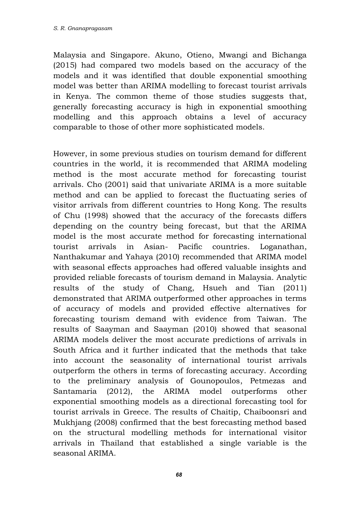Malaysia and Singapore. Akuno, Otieno, Mwangi and Bichanga (2015) had compared two models based on the accuracy of the models and it was identified that double exponential smoothing model was better than ARIMA modelling to forecast tourist arrivals in Kenya. The common theme of those studies suggests that, generally forecasting accuracy is high in exponential smoothing modelling and this approach obtains a level of accuracy comparable to those of other more sophisticated models.

However, in some previous studies on tourism demand for different countries in the world, it is recommended that ARIMA modeling method is the most accurate method for forecasting tourist arrivals. Cho (2001) said that univariate ARIMA is a more suitable method and can be applied to forecast the fluctuating series of visitor arrivals from different countries to Hong Kong. The results of Chu (1998) showed that the accuracy of the forecasts differs depending on the country being forecast, but that the ARIMA model is the most accurate method for forecasting international tourist arrivals in Asian- Pacific countries. Loganathan, Nanthakumar and Yahaya (2010) recommended that ARIMA model with seasonal effects approaches had offered valuable insights and provided reliable forecasts of tourism demand in Malaysia. Analytic results of the study of Chang, Hsueh and Tian (2011) demonstrated that ARIMA outperformed other approaches in terms of accuracy of models and provided effective alternatives for forecasting tourism demand with evidence from Taiwan. The results of Saayman and Saayman (2010) showed that seasonal ARIMA models deliver the most accurate predictions of arrivals in South Africa and it further indicated that the methods that take into account the seasonality of international tourist arrivals outperform the others in terms of forecasting accuracy. According to the preliminary analysis of Gounopoulos, Petmezas and Santamaria (2012), the ARIMA model outperforms other exponential smoothing models as a directional forecasting tool for tourist arrivals in Greece. The results of Chaitip, Chaiboonsri and Mukhjang (2008) confirmed that the best forecasting method based on the structural modelling methods for international visitor arrivals in Thailand that established a single variable is the seasonal ARIMA.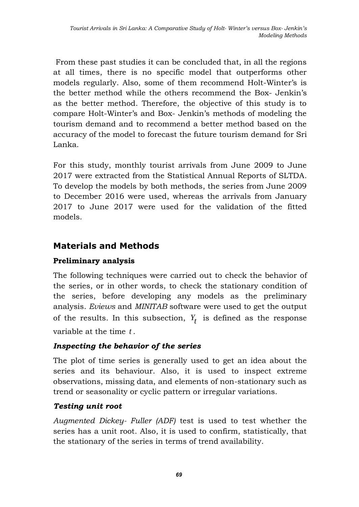From these past studies it can be concluded that, in all the regions at all times, there is no specific model that outperforms other models regularly. Also, some of them recommend Holt-Winter's is the better method while the others recommend the Box- Jenkin's as the better method. Therefore, the objective of this study is to compare Holt-Winter's and Box- Jenkin's methods of modeling the tourism demand and to recommend a better method based on the accuracy of the model to forecast the future tourism demand for Sri Lanka.

For this study, monthly tourist arrivals from June 2009 to June 2017 were extracted from the Statistical Annual Reports of SLTDA. To develop the models by both methods, the series from June 2009 to December 2016 were used, whereas the arrivals from January 2017 to June 2017 were used for the validation of the fitted models.

# **Materials and Methods**

# **Preliminary analysis**

The following techniques were carried out to check the behavior of the series, or in other words, to check the stationary condition of the series, before developing any models as the preliminary analysis. *Eviews* and *MINITAB* software were used to get the output of the results. In this subsection,  $Y_t$  is defined as the response variable at the time *t* .

# *Inspecting the behavior of the series*

The plot of time series is generally used to get an idea about the series and its behaviour. Also, it is used to inspect extreme observations, missing data, and elements of non-stationary such as trend or seasonality or cyclic pattern or irregular variations.

# *Testing unit root*

*Augmented Dickey- Fuller (ADF)* test is used to test whether the series has a unit root. Also, it is used to confirm, statistically, that the stationary of the series in terms of trend availability.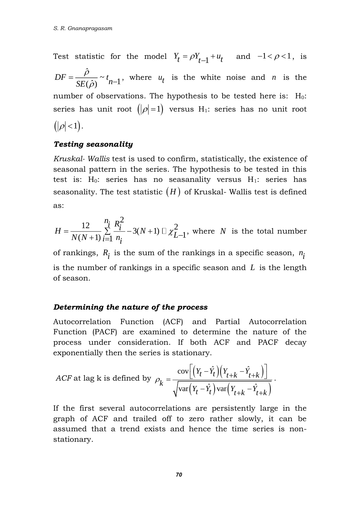Test statistic for the model  $Y_t = \rho Y_{t-1} + u_t$  and  $-1 < \rho < 1$ , is ˆ $DF = \frac{P}{SE(\hat{\rho})} \sim t_{n-1}$ *<sup>n</sup> SE*  $\rho$  $\rho$  $=\frac{P}{SF(\hat{\rho})} \sim t_{n-1}$ , where  $u_t$  is the white noise and *n* is the number of observations. The hypothesis to be tested here is:  $H_0$ : series has unit root  $\big( |\rho| \! = \! 1 \big)$  versus  $\rm H_{1}:$  series has no unit root  $(|\rho|<1)$ .

#### *Testing seasonality*

*Kruskal- Wallis* test is used to confirm, statistically, the existence of seasonal pattern in the series. The hypothesis to be tested in this test is:  $H_0$ : series has no seasanality versus  $H_1$ : series has seasonality. The test statistic  $(H)$  of Kruskal- Wallis test is defined as:

$$
H = \frac{12}{N(N+1)} \sum_{i=1}^{n_i} \frac{R_i^2}{n_i} - 3(N+1) \square \chi_{L-1}^2
$$
, where *N* is the total number

of rankings,  $R_{\widetilde l}$  is the sum of the rankings in a specific season,  $n_{\widetilde l}$ is the number of rankings in a specific season and *L* is the length of season.

#### *Determining the nature of the process*

Autocorrelation Function (ACF) and Partial Autocorrelation Function (PACF) are examined to determine the nature of the process under consideration. If both ACF and PACF decay exponentially then the series is stationary.

exponentially then the series is stationary.  
ACF at lag k is defined by 
$$
\rho_k = \frac{\text{cov}\left[\left(Y_t - \hat{Y}_t\right)\left(Y_{t+k} - \hat{Y}_{t+k}\right)\right]}{\sqrt{\text{var}\left(Y_t - \hat{Y}_t\right)\text{var}\left(Y_{t+k} - \hat{Y}_{t+k}\right)}}
$$
.

If the first several autocorrelations are persistently large in the graph of ACF and trailed off to zero rather slowly, it can be assumed that a trend exists and hence the time series is nonstationary.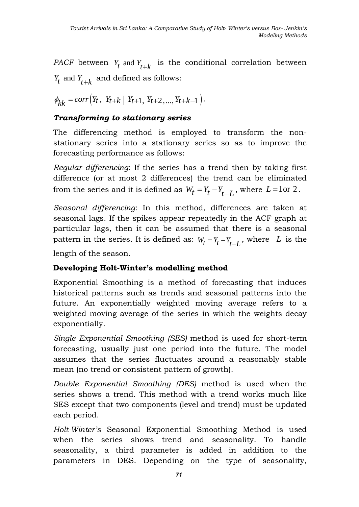*PACF* between  $Y_t$  and  $Y_{t+k}$  is the conditional correlation between  $Y_t$  and  $Y_{t+k}$  and defined as follows:

$$
\phi_{kk} = corr(Y_t, Y_{t+k} | Y_{t+1}, Y_{t+2}, \dots, Y_{t+k-1}).
$$

#### *Transforming to stationary series*

The differencing method is employed to transform the nonstationary series into a stationary series so as to improve the forecasting performance as follows:

*Regular differencing*: If the series has a trend then by taking first difference (or at most 2 differences) the trend can be eliminated from the series and it is defined as  $W_t = Y_t - Y_{t-L}$ , where  $L = 1$ or 2.

*Seasonal differencing*: In this method, differences are taken at seasonal lags. If the spikes appear repeatedly in the ACF graph at particular lags, then it can be assumed that there is a seasonal pattern in the series. It is defined as:  $W_t = Y_t - Y_{t-L}$ , where L is the −

length of the season.

#### **Developing Holt-Winter's modelling method**

Exponential Smoothing is a method of forecasting that induces historical patterns such as trends and seasonal patterns into the future. An exponentially weighted moving average refers to a weighted moving average of the series in which the weights decay exponentially.

*Single Exponential Smoothing (SES)* method is used for short-term forecasting, usually just one period into the future. The model assumes that the series fluctuates around a reasonably stable mean (no trend or consistent pattern of growth).

*Double Exponential Smoothing (DES)* method is used when the series shows a trend. This method with a trend works much like SES except that two components (level and trend) must be updated each period.

*Holt-Winter's* Seasonal Exponential Smoothing Method is used when the series shows trend and seasonality. To handle seasonality, a third parameter is added in addition to the parameters in DES. Depending on the type of seasonality,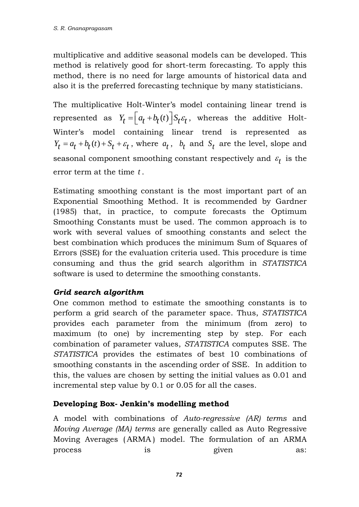multiplicative and additive seasonal models can be developed. This method is relatively good for short-term forecasting. To apply this method, there is no need for large amounts of historical data and also it is the preferred forecasting technique by many statisticians.

The multiplicative Holt-Winter's model containing linear trend is represented as  $Y_t = \left[a_t + b_t(t)\right] S_t \varepsilon_t$ , whereas the additive Holt-Winter's model containing linear trend is represented as  $Y_t = a_t + b_t(t) + S_t + \varepsilon_t$ , where  $a_t$ ,  $b_t$  and  $S_t$  are the level, slope and seasonal component smoothing constant respectively and  $\varepsilon_t^{}$  is the error term at the time *t* .

Estimating smoothing constant is the most important part of an Exponential Smoothing Method. It is recommended by Gardner (1985) that, in practice, to compute forecasts the Optimum Smoothing Constants must be used. The common approach is to work with several values of smoothing constants and select the best combination which produces the minimum Sum of Squares of Errors (SSE) for the evaluation criteria used. This procedure is time consuming and thus the grid search algorithm in *STATISTICA* software is used to determine the smoothing constants.

# *Grid search algorithm*

One common method to estimate the smoothing constants is to perform a grid search of the parameter space. Thus, *STATISTICA* provides each parameter from the minimum (from zero) to maximum (to one) by incrementing step by step. For each combination of parameter values, *STATISTICA* computes SSE. The *STATISTICA* provides the estimates of best 10 combinations of smoothing constants in the ascending order of SSE. In addition to this, the values are chosen by setting the initial values as 0.01 and incremental step value by 0.1 or 0.05 for all the cases.

## **Developing Box- Jenkin's modelling method**

A model with combinations of *Auto-regressive (AR) terms* and *Moving Average (MA) terms* are generally called as Auto Regressive Moving Averages ( ARMA ) model. The formulation of an ARMA process is given as: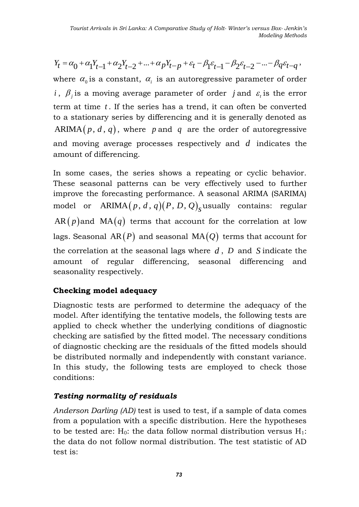$Y_t = \alpha_0 + \alpha_1 Y_{t-1} + \alpha_2 Y_{t-2} + \dots + \alpha_p Y_{t-p} + \varepsilon_t - \beta_1 \varepsilon_{t-1} - \beta_2 \varepsilon_{t-2} - \dots - \beta_q \varepsilon_{t-q},$ where  $\alpha_0$  is a constant,  $\alpha_i$  is an autoregressive parameter of order *i*,  $\beta_j$  is a moving average parameter of order *j* and  $\varepsilon_i$  is the error term at time *<sup>t</sup>* . If the series has a trend, it can often be converted to a stationary series by differencing and it is generally denoted as  $ARIMA(p, d, q)$ , where p and q are the order of autoregressive and moving average processes respectively and *d* indicates the amount of differencing.

In some cases, the series shows a repeating or cyclic behavior. These seasonal patterns can be very effectively used to further improve the forecasting performance. A seasonal ARIMA (SARIMA) model or  $\mathrm{ARIMA}(p,d,q)(P,D,Q)_{\mathrm{s}}$  usually contains: regular  ${\sf AR}(p)$  and  ${\sf MA}(q)$  terms that account for the correlation at low lags. Seasonal  $\mathop{\mathrm{AR}}\nolimits(P)$  and seasonal  $\mathop{\mathrm{MA}}\nolimits(Q)$  terms that account for the correlation at the seasonal lags where *d* , *<sup>D</sup>* and *S* indicate the amount of regular differencing, seasonal differencing and seasonality respectively.

## **Checking model adequacy**

Diagnostic tests are performed to determine the adequacy of the model. After identifying the tentative models, the following tests are applied to check whether the underlying conditions of diagnostic checking are satisfied by the fitted model. The necessary conditions of diagnostic checking are the residuals of the fitted models should be distributed normally and independently with constant variance. In this study, the following tests are employed to check those conditions:

## *Testing normality of residuals*

*Anderson Darling (AD)* test is used to test, if a sample of data comes from a population with a specific distribution. Here the hypotheses to be tested are:  $H_0$ : the data follow normal distribution versus  $H_1$ : the data do not follow normal distribution. The test statistic of AD test is: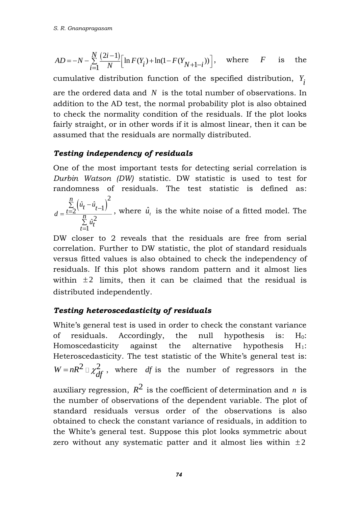$$
AD = -N - \sum_{i=1}^{N} \frac{(2i-1)}{N} \Big[ \ln F(Y_i) + \ln(1 - F(Y_{N+1-i})) \Big], \text{ where } F \text{ is the}
$$

cumulative distribution function of the specified distribution, *Y i*

are the ordered data and  $N$  is the total number of observations. In addition to the AD test, the normal probability plot is also obtained to check the normality condition of the residuals. If the plot looks fairly straight, or in other words if it is almost linear, then it can be assumed that the residuals are normally distributed.

## *Testing independency of residuals*

One of the most important tests for detecting serial correlation is *Durbin Watson (DW)* statistic. DW statistic is used to test for randomness of residuals. The test statistic is defined as:

 $\sum_{t=2}^{n} (\hat{u}_t - \hat{u}_{t-1})^2$  $\hat{i}^2$ 1 *n*  $u_t - u_t$  $d = \frac{t=2}{n}$ *u t t*  $=\frac{\sum\limits_{t=2}^{\infty}(\hat{u}_t - \hat{u}_{t-1})}{\sum\limits_{t=1}^{n}\hat{u}_t^2}$ , where  $\hat{u}_t$  is the white noise of a fitted model. The

DW closer to 2 reveals that the residuals are free from serial correlation. Further to DW statistic, the plot of standard residuals versus fitted values is also obtained to check the independency of residuals. If this plot shows random pattern and it almost lies within  $\pm 2$  limits, then it can be claimed that the residual is distributed independently.

## *Testing heteroscedasticity of residuals*

White's general test is used in order to check the constant variance of residuals. Accordingly, the null hypothesis is:  $H_0$ : Homoscedasticity against the alternative hypothesis  $H_1$ : Heteroscedasticity. The test statistic of the White's general test is:  $W = nR^2 \Box \gamma^2$  $=nR^2 \Box \chi^2_{df}$ , where *df* is the number of regressors in the

auxiliary regression,  $R^2$  is the coefficient of determination and *n* is the number of observations of the dependent variable. The plot of standard residuals versus order of the observations is also obtained to check the constant variance of residuals, in addition to the White's general test. Suppose this plot looks symmetric about zero without any systematic patter and it almost lies within  $\pm 2$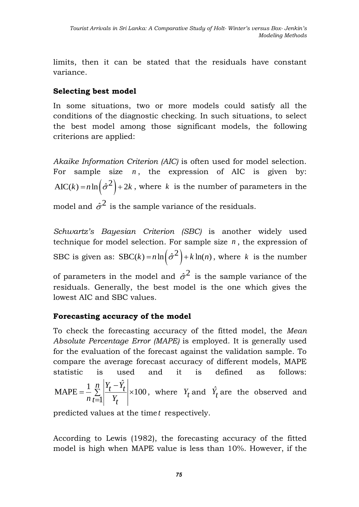limits, then it can be stated that the residuals have constant variance.

## **Selecting best model**

In some situations, two or more models could satisfy all the conditions of the diagnostic checking. In such situations, to select the best model among those significant models, the following criterions are applied:

*Akaike Information Criterion (AIC)* is often used for model selection. For sample size *n* , the expression of AIC is given by:  $AIC(k) = n \ln \left( \hat{\sigma}^2 \right) + 2k$ , where k is the number of parameters in the model and  $\hat{\sigma}^2$  is the sample variance of the residuals.

*Schwartz's Bayesian Criterion (SBC)* is another widely used technique for model selection. For sample size *n* , the expression of SBC is given as:  $SBC(k) = n \ln(\hat{\sigma}^2) + k \ln(n)$ , where k is the number

of parameters in the model and  $\hat{\sigma}^2$  is the sample variance of the residuals. Generally, the best model is the one which gives the lowest AIC and SBC values.

## **Forecasting accuracy of the model**

To check the forecasting accuracy of the fitted model, the *Mean Absolute Percentage Error (MAPE)* is employed. It is generally used for the evaluation of the forecast against the validation sample. To compare the average forecast accuracy of different models, MAPE statistic is used and it is defined as follows: MAPE =  $\frac{1}{2} \sum_{i=1}^{n} \left| \frac{Y_t - \hat{Y}_t}{Y_t} \right| \times 100$ 1  $=\frac{1}{2}\sum_{i=1}^{n}\frac{Y_t-\hat{Y}_t}{Y}\times 100$ =  $\frac{n}{\sum_{t=1}^{N} |Y_t - \hat{Y}_t|},$  $\frac{1}{n} \sum_{t=1}^{\infty} \left| \frac{t}{Y_t} \right|$ , where  $Y_t$  and  $\hat{Y}_t$  are the observed and

predicted values at the time *t* respectively.

According to Lewis (1982), the forecasting accuracy of the fitted model is high when MAPE value is less than 10%. However, if the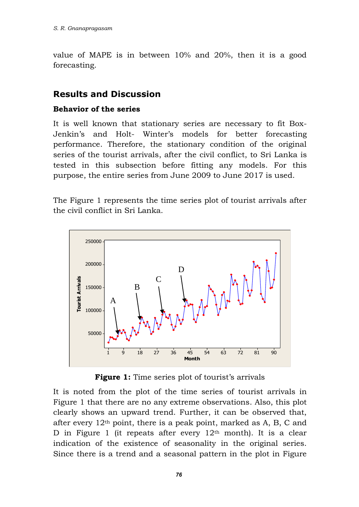value of MAPE is in between 10% and 20%, then it is a good forecasting.

# **Results and Discussion**

#### **Behavior of the series**

It is well known that stationary series are necessary to fit Box-Jenkin's and Holt- Winter's models for better forecasting performance. Therefore, the stationary condition of the original series of the tourist arrivals, after the civil conflict, to Sri Lanka is tested in this subsection before fitting any models. For this purpose, the entire series from June 2009 to June 2017 is used.

The Figure 1 represents the time series plot of tourist arrivals after the civil conflict in Sri Lanka.



**Figure 1:** Time series plot of tourist's arrivals

It is noted from the plot of the time series of tourist arrivals in Figure 1 that there are no any extreme observations. Also, this plot clearly shows an upward trend. Further, it can be observed that, after every 12th point, there is a peak point, marked as A, B, C and D in Figure 1 (it repeats after every  $12<sup>th</sup>$  month). It is a clear indication of the existence of seasonality in the original series. Since there is a trend and a seasonal pattern in the plot in Figure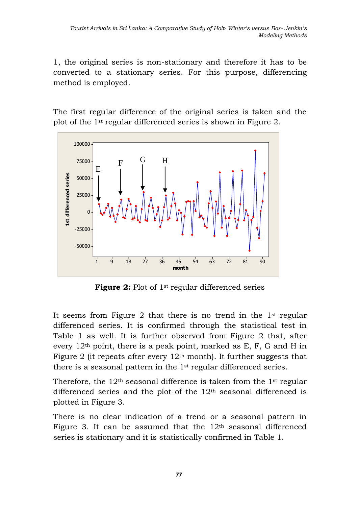1, the original series is non-stationary and therefore it has to be converted to a stationary series. For this purpose, differencing method is employed.

The first regular difference of the original series is taken and the plot of the 1st regular differenced series is shown in Figure 2.



**Figure 2:** Plot of 1<sup>st</sup> regular differenced series

It seems from Figure 2 that there is no trend in the 1st regular differenced series. It is confirmed through the statistical test in Table 1 as well. It is further observed from Figure 2 that, after every  $12<sup>th</sup>$  point, there is a peak point, marked as E, F, G and H in Figure 2 (it repeats after every  $12<sup>th</sup>$  month). It further suggests that there is a seasonal pattern in the 1st regular differenced series.

Therefore, the  $12<sup>th</sup>$  seasonal difference is taken from the 1<sup>st</sup> regular differenced series and the plot of the 12<sup>th</sup> seasonal differenced is plotted in Figure 3.

There is no clear indication of a trend or a seasonal pattern in Figure 3. It can be assumed that the  $12<sup>th</sup>$  seasonal differenced series is stationary and it is statistically confirmed in Table 1.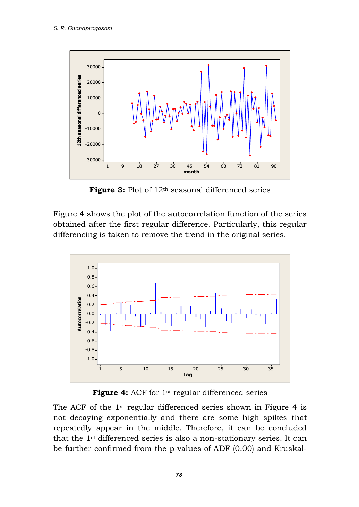

**Figure 3:** Plot of 12<sup>th</sup> seasonal differenced series

Figure 4 shows the plot of the autocorrelation function of the series obtained after the first regular difference. Particularly, this regular differencing is taken to remove the trend in the original series.



Figure 4: ACF for 1<sup>st</sup> regular differenced series

The ACF of the 1st regular differenced series shown in Figure 4 is not decaying exponentially and there are some high spikes that repeatedly appear in the middle. Therefore, it can be concluded that the 1st differenced series is also a non-stationary series. It can be further confirmed from the p-values of ADF (0.00) and Kruskal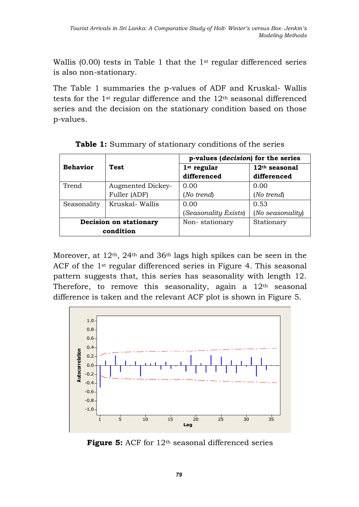Wallis  $(0.00)$  tests in Table 1 that the 1<sup>st</sup> regular differenced series is also non-stationary.

The Table 1 summaries the p-values of ADF and Kruskal- Wallis tests for the 1st regular difference and the 12th seasonal differenced series and the decision on the stationary condition based on those p-values.

|                        |                   | p-values ( <i>decision</i> ) for the series |                       |  |  |
|------------------------|-------------------|---------------------------------------------|-----------------------|--|--|
| <b>Behavior</b>        | <b>Test</b>       | $1st$ regular                               | $12th$ seasonal       |  |  |
|                        |                   | differenced                                 | differenced           |  |  |
| Trend                  | Augmented Dickey- | 0.00                                        | 0.00                  |  |  |
|                        | Fuller (ADF)      | (No trend)                                  | (No trend)            |  |  |
| Seasonality            | Kruskal- Wallis   | 0.00                                        | 0.53                  |  |  |
|                        |                   | Seasonality Exists)                         | $(No$ seasonality $)$ |  |  |
| Decision on stationary |                   | Non-stationary                              | Stationary            |  |  |
| condition              |                   |                                             |                       |  |  |

**Table 1:** Summary of stationary conditions of the series

Moreover, at 12th, 24th and 36th lags high spikes can be seen in the ACF of the 1<sup>st</sup> regular differenced series in Figure 4. This seasonal pattern suggests that, this series has seasonality with length 12. Therefore, to remove this seasonality, again a  $12<sup>th</sup>$  seasonal difference is taken and the relevant ACF plot is shown in Figure 5.



Figure 5: ACF for 12<sup>th</sup> seasonal differenced series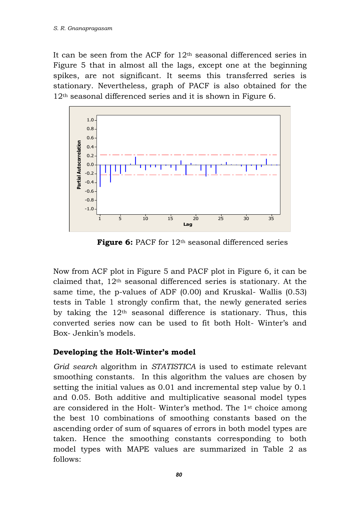It can be seen from the ACF for  $12<sup>th</sup>$  seasonal differenced series in Figure 5 that in almost all the lags, except one at the beginning spikes, are not significant. It seems this transferred series is stationary. Nevertheless, graph of PACF is also obtained for the 12th seasonal differenced series and it is shown in Figure 6.



**Figure 6:** PACF for 12<sup>th</sup> seasonal differenced series

Now from ACF plot in Figure 5 and PACF plot in Figure 6, it can be claimed that,  $12<sup>th</sup>$  seasonal differenced series is stationary. At the same time, the p-values of ADF (0.00) and Kruskal- Wallis (0.53) tests in Table 1 strongly confirm that, the newly generated series by taking the  $12<sup>th</sup>$  seasonal difference is stationary. Thus, this converted series now can be used to fit both Holt- Winter's and Box- Jenkin's models.

## **Developing the Holt-Winter's model**

*Grid search* algorithm in *STATISTICA* is used to estimate relevant smoothing constants. In this algorithm the values are chosen by setting the initial values as 0.01 and incremental step value by 0.1 and 0.05. Both additive and multiplicative seasonal model types are considered in the Holt- Winter's method. The 1st choice among the best 10 combinations of smoothing constants based on the ascending order of sum of squares of errors in both model types are taken. Hence the smoothing constants corresponding to both model types with MAPE values are summarized in Table 2 as follows: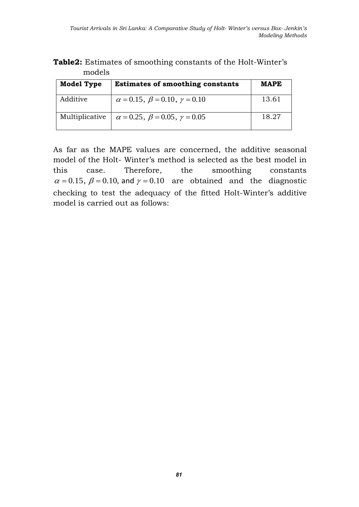| THUUCIS           |                                                    |             |
|-------------------|----------------------------------------------------|-------------|
| <b>Model Type</b> | <b>Estimates of smoothing constants</b>            | <b>MAPE</b> |
| Additive          | $\alpha = 0.15$ , $\beta = 0.10$ , $\gamma = 0.10$ | 13.61       |
| Multiplicative    | $\alpha = 0.25$ , $\beta = 0.05$ , $\gamma = 0.05$ | 18.27       |

|        | <b>Table2:</b> Estimates of smoothing constants of the Holt-Winter's |  |  |
|--------|----------------------------------------------------------------------|--|--|
| models |                                                                      |  |  |

As far as the MAPE values are concerned, the additive seasonal model of the Holt- Winter's method is selected as the best model in this case. Therefore, the smoothing constants  $\alpha$  = 0.15,  $\beta$  = 0.10, and  $\gamma$  = 0.10 are obtained and the diagnostic checking to test the adequacy of the fitted Holt-Winter's additive model is carried out as follows: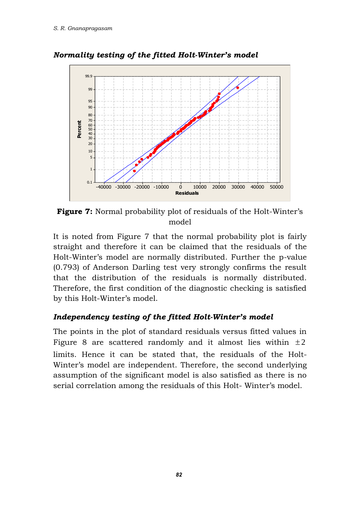

*Normality testing of the fitted Holt-Winter's model*

**Figure 7:** Normal probability plot of residuals of the Holt-Winter's model

It is noted from Figure 7 that the normal probability plot is fairly straight and therefore it can be claimed that the residuals of the Holt-Winter's model are normally distributed. Further the p-value (0.793) of Anderson Darling test very strongly confirms the result that the distribution of the residuals is normally distributed. Therefore, the first condition of the diagnostic checking is satisfied by this Holt-Winter's model.

# *Independency testing of the fitted Holt-Winter's model*

The points in the plot of standard residuals versus fitted values in Figure 8 are scattered randomly and it almost lies within  $\pm 2$ limits. Hence it can be stated that, the residuals of the Holt-Winter's model are independent. Therefore, the second underlying assumption of the significant model is also satisfied as there is no serial correlation among the residuals of this Holt- Winter's model.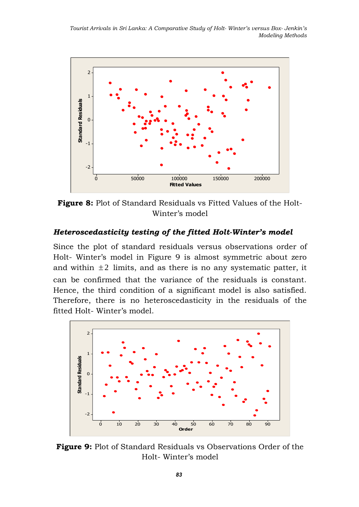*Tourist Arrivals in Sri Lanka: A Comparative Study of Holt- Winter's versus Box- Jenkin's Modeling Methods*



**Figure 8:** Plot of Standard Residuals vs Fitted Values of the Holt-Winter's model

#### *Heteroscedasticity testing of the fitted Holt-Winter's model*

Since the plot of standard residuals versus observations order of Holt- Winter's model in Figure 9 is almost symmetric about zero and within  $\pm 2$  limits, and as there is no any systematic patter, it can be confirmed that the variance of the residuals is constant. Hence, the third condition of a significant model is also satisfied. Therefore, there is no heteroscedasticity in the residuals of the fitted Holt- Winter's model.



**Figure 9:** Plot of Standard Residuals vs Observations Order of the Holt- Winter's model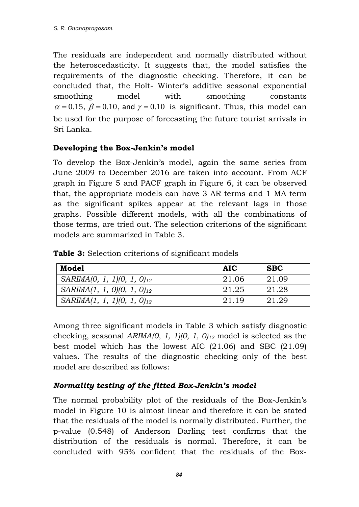The residuals are independent and normally distributed without the heteroscedasticity. It suggests that, the model satisfies the requirements of the diagnostic checking. Therefore, it can be concluded that, the Holt- Winter's additive seasonal exponential smoothing model with smoothing constants smoothing model with smoothing constants  $\alpha = 0.15$ ,  $\beta = 0.10$ , and  $\gamma = 0.10$  is significant. Thus, this model can be used for the purpose of forecasting the future tourist arrivals in Sri Lanka.

## **Developing the Box-Jenkin's model**

To develop the Box-Jenkin's model, again the same series from June 2009 to December 2016 are taken into account. From ACF graph in Figure 5 and PACF graph in Figure 6, it can be observed that, the appropriate models can have 3 AR terms and 1 MA term as the significant spikes appear at the relevant lags in those graphs. Possible different models, with all the combinations of those terms, are tried out. The selection criterions of the significant models are summarized in Table 3.

|  |  |  | <b>Table 3:</b> Selection criterions of significant models |  |  |  |  |
|--|--|--|------------------------------------------------------------|--|--|--|--|
|--|--|--|------------------------------------------------------------|--|--|--|--|

| Model                           | <b>AIC</b> | <b>SBC</b> |
|---------------------------------|------------|------------|
| $SARIMA(0, 1, 1)(0, 1, 0)_{12}$ | 21.06      | 21.09      |
| $SARIMA(1, 1, 0)(0, 1, 0)_{12}$ | 21.25      | 21.28      |
| $SARIMA(1, 1, 1)(0, 1, 0)_{12}$ | 21.19      | 21.29      |

Among three significant models in Table 3 which satisfy diagnostic checking, seasonal *ARIMA(0, 1, 1)(0, 1, 0)<sup>12</sup>* model is selected as the best model which has the lowest AIC (21.06) and SBC (21.09) values. The results of the diagnostic checking only of the best model are described as follows:

# *Normality testing of the fitted Box-Jenkin's model*

The normal probability plot of the residuals of the Box-Jenkin's model in Figure 10 is almost linear and therefore it can be stated that the residuals of the model is normally distributed. Further, the p-value (0.548) of Anderson Darling test confirms that the distribution of the residuals is normal. Therefore, it can be concluded with 95% confident that the residuals of the Box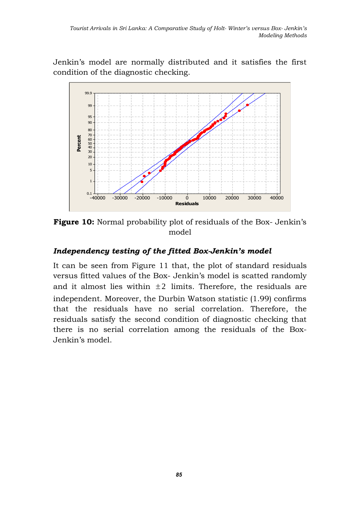Jenkin's model are normally distributed and it satisfies the first condition of the diagnostic checking.



**Figure 10:** Normal probability plot of residuals of the Box- Jenkin's model

#### *Independency testing of the fitted Box-Jenkin's model*

It can be seen from Figure 11 that, the plot of standard residuals versus fitted values of the Box- Jenkin's model is scatted randomly and it almost lies within  $\pm 2$  limits. Therefore, the residuals are independent. Moreover, the Durbin Watson statistic (1.99) confirms that the residuals have no serial correlation. Therefore, the residuals satisfy the second condition of diagnostic checking that there is no serial correlation among the residuals of the Box-Jenkin's model.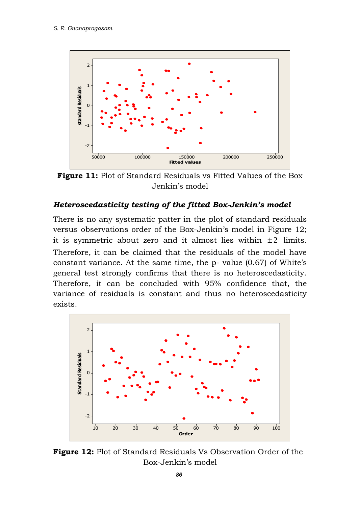

**Figure 11:** Plot of Standard Residuals vs Fitted Values of the Box Jenkin's model

#### *Heteroscedasticity testing of the fitted Box-Jenkin's model*

There is no any systematic patter in the plot of standard residuals versus observations order of the Box-Jenkin's model in Figure 12; it is symmetric about zero and it almost lies within  $\pm 2$  limits. Therefore, it can be claimed that the residuals of the model have constant variance. At the same time, the p- value (0.67) of White's general test strongly confirms that there is no heteroscedasticity. Therefore, it can be concluded with 95% confidence that, the variance of residuals is constant and thus no heteroscedasticity exists.



**Figure 12:** Plot of Standard Residuals Vs Observation Order of the Box-Jenkin's model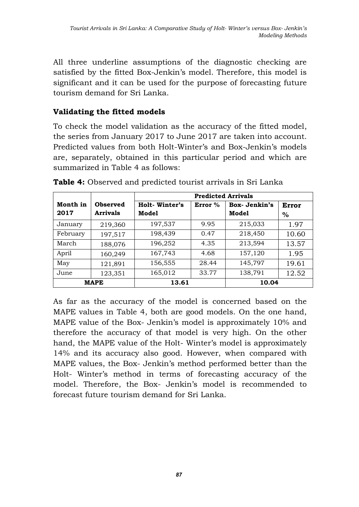All three underline assumptions of the diagnostic checking are satisfied by the fitted Box-Jenkin's model. Therefore, this model is significant and it can be used for the purpose of forecasting future tourism demand for Sri Lanka.

## **Validating the fitted models**

To check the model validation as the accuracy of the fitted model, the series from January 2017 to June 2017 are taken into account. Predicted values from both Holt-Winter's and Box-Jenkin's models are, separately, obtained in this particular period and which are summarized in Table 4 as follows:

|                  |                             | <b>Predicted Arrivals</b>     |           |                       |               |  |
|------------------|-----------------------------|-------------------------------|-----------|-----------------------|---------------|--|
| Month in<br>2017 | Observed<br><b>Arrivals</b> | <b>Holt-Winter's</b><br>Model | Error $%$ | Box-Jenkin's<br>Model | Error<br>$\%$ |  |
| January          | 219,360                     | 197,537                       | 9.95      | 215,033               | 1.97          |  |
| February         | 197,517                     | 198,439                       | 0.47      | 218,450               | 10.60         |  |
| March            | 188,076                     | 196,252                       | 4.35      | 213,594               | 13.57         |  |
| April            | 160,249                     | 167,743                       | 4.68      | 157,120               | 1.95          |  |
| May              | 121,891                     | 156,555                       | 28.44     | 145,797               | 19.61         |  |
| June             | 123,351                     | 165,012                       | 33.77     | 138,791               | 12.52         |  |
| <b>MAPE</b>      |                             | 13.61                         |           | 10.04                 |               |  |

**Table 4:** Observed and predicted tourist arrivals in Sri Lanka

As far as the accuracy of the model is concerned based on the MAPE values in Table 4, both are good models. On the one hand, MAPE value of the Box- Jenkin's model is approximately 10% and therefore the accuracy of that model is very high. On the other hand, the MAPE value of the Holt- Winter's model is approximately 14% and its accuracy also good. However, when compared with MAPE values, the Box- Jenkin's method performed better than the Holt- Winter's method in terms of forecasting accuracy of the model. Therefore, the Box- Jenkin's model is recommended to forecast future tourism demand for Sri Lanka.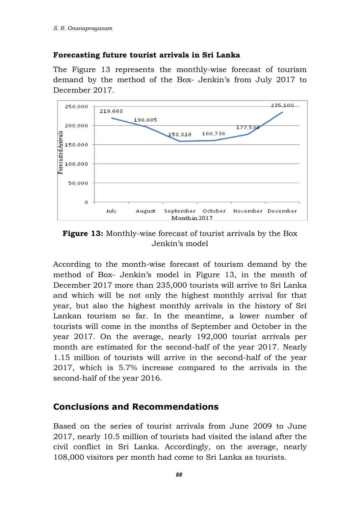#### **Forecasting future tourist arrivals in Sri Lanka**

The Figure 13 represents the monthly-wise forecast of tourism demand by the method of the Box- Jenkin's from July 2017 to December 2017.



**Figure 13:** Monthly-wise forecast of tourist arrivals by the Box Jenkin's model

According to the month-wise forecast of tourism demand by the method of Box- Jenkin's model in Figure 13, in the month of December 2017 more than 235,000 tourists will arrive to Sri Lanka and which will be not only the highest monthly arrival for that year, but also the highest monthly arrivals in the history of Sri Lankan tourism so far. In the meantime, a lower number of tourists will come in the months of September and October in the year 2017. On the average, nearly 192,000 tourist arrivals per month are estimated for the second-half of the year 2017. Nearly 1.15 million of tourists will arrive in the second-half of the year 2017, which is 5.7% increase compared to the arrivals in the second-half of the year 2016.

# **Conclusions and Recommendations**

Based on the series of tourist arrivals from June 2009 to June 2017, nearly 10.5 million of tourists had visited the island after the civil conflict in Sri Lanka. Accordingly, on the average, nearly 108,000 visitors per month had come to Sri Lanka as tourists.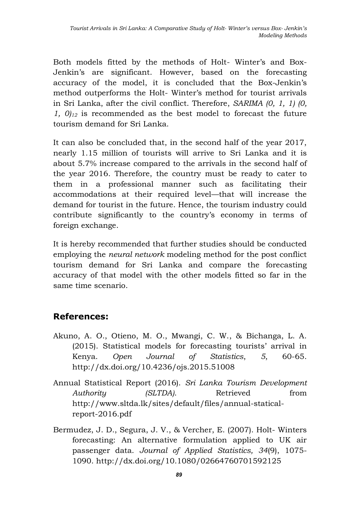Both models fitted by the methods of Holt- Winter's and Box-Jenkin's are significant. However, based on the forecasting accuracy of the model, it is concluded that the Box-Jenkin's method outperforms the Holt- Winter's method for tourist arrivals in Sri Lanka, after the civil conflict. Therefore, *SARIMA (0, 1, 1) (0, 1, 0)<sup>12</sup>* is recommended as the best model to forecast the future tourism demand for Sri Lanka.

It can also be concluded that, in the second half of the year 2017, nearly 1.15 million of tourists will arrive to Sri Lanka and it is about 5.7% increase compared to the arrivals in the second half of the year 2016. Therefore, the country must be ready to cater to them in a professional manner such as facilitating their accommodations at their required level—that will increase the demand for tourist in the future. Hence, the tourism industry could contribute significantly to the country's economy in terms of foreign exchange.

It is hereby recommended that further studies should be conducted employing the *neural network* modeling method for the post conflict tourism demand for Sri Lanka and compare the forecasting accuracy of that model with the other models fitted so far in the same time scenario.

# **References:**

- Akuno, A. O., Otieno, M. O., Mwangi, C. W., & Bichanga, L. A. (2015). Statistical models for forecasting tourists' arrival in Kenya. *Open Journal of Statistics*, *5*, 60-65. <http://dx.doi.org/10.4236/ojs.2015.51008>
- Annual Statistical Report (2016). *Sri Lanka Tourism Development Authority (SLTDA)*. Retrieved from [http://www.sltda.lk/sites/default/files/annual-statical](http://www.sltda.lk/sites/default/files/annual-statical-report-2016.pdf)[report-2016.pdf](http://www.sltda.lk/sites/default/files/annual-statical-report-2016.pdf)
- Bermudez, J. D., Segura, J. V., & Vercher, E. (2007). Holt- Winters forecasting: An alternative formulation applied to UK air passenger data. *Journal of Applied Statistics, 34*(9), 1075- 1090. <http://dx.doi.org/10.1080/02664760701592125>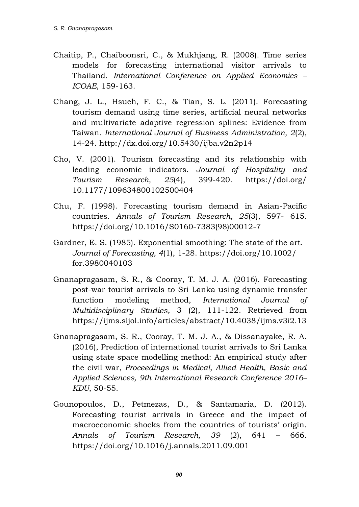- Chaitip, P., Chaiboonsri, C., & Mukhjang, R. (2008). Time series models for forecasting international visitor arrivals to Thailand. *International Conference on Applied Economics – ICOAE,* 159-163.
- Chang, J. L., Hsueh, F. C., & Tian, S. L. (2011). Forecasting tourism demand using time series, artificial neural networks and multivariate adaptive regression splines: Evidence from Taiwan. *International Journal of Business Administration, 2*(2), 14-24. <http://dx.doi.org/10.5430/ijba.v2n2p14>
- Cho, V. (2001). Tourism forecasting and its relationship with leading economic indicators. *Journal of Hospitality and Tourism Research, 25*(4), 399-420. [https://doi.org/](https://doi.org/%2010.1177/109634800102500404) [10.1177/109634800102500404](https://doi.org/%2010.1177/109634800102500404)
- Chu, F. (1998). Forecasting tourism demand in Asian-Pacific countries. *Annals of Tourism Research, 25*(3), 597- 615. [https://doi.org/10.1016/S0160-7383\(98\)00012-7](https://doi.org/10.1016/S0160-7383(98)00012-7)
- Gardner, E. S. (1985). Exponential smoothing: The state of the art. *Journal of Forecasting, 4*(1), 1-28. [https://doi.org/10.1002/](https://doi.org/10.1002/%20for.3980040103) [for.3980040103](https://doi.org/10.1002/%20for.3980040103)
- Gnanapragasam, S. R., & Cooray, T. M. J. A. (2016). Forecasting post-war tourist arrivals to Sri Lanka using dynamic transfer function modeling method, *International Journal of Multidisciplinary Studies*, 3 (2), 111-122. Retrieved from <https://ijms.sljol.info/articles/abstract/10.4038/ijms.v3i2.13>
- Gnanapragasam, S. R., Cooray, T. M. J. A., & Dissanayake, R. A. (2016), Prediction of international tourist arrivals to Sri Lanka using state space modelling method: An empirical study after the civil war, *Proceedings in Medical, Allied Health, Basic and Applied Sciences, 9th International Research Conference 2016– KDU*, 50-55.
- Gounopoulos, D., Petmezas, D., & Santamaria, D. (2012). Forecasting tourist arrivals in Greece and the impact of macroeconomic shocks from the countries of tourists' origin. *Annals of Tourism Research, 39* (2), 641 – 666. <https://doi.org/10.1016/j.annals.2011.09.001>